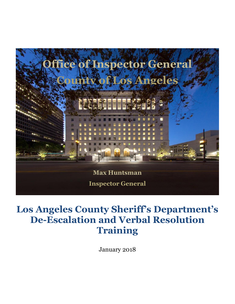

# **Los Angeles County Sheriff's Department's De-Escalation and Verbal Resolution Training**

January 2018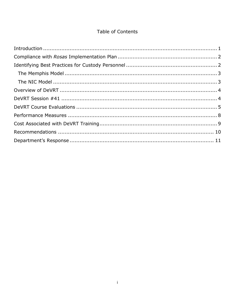#### Table of Contents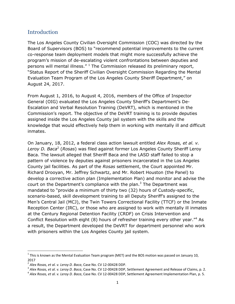#### <span id="page-2-0"></span>Introduction

The Los Angeles County Civilian Oversight Commission (COC) was directed by the Board of Supervisors (BOS) to "recommend potential improvements to the current co-response team deployment models that might more successfully achieve the program's mission of de-escalating violent confrontations between deputies and persons will mental illness." $1$  The Commission released its preliminary report, "Status Report of the Sheriff Civilian Oversight Commission Regarding the Mental Evaluation Team Program of the Los Angeles County Sheriff Department," on August 24, 2017.

From August 1, 2016, to August 4, 2016, members of the Office of Inspector General (OIG) evaluated the Los Angeles County Sheriff's Department's De-Escalation and Verbal Resolution Training (DeVRT), which is mentioned in the Commission's report. The objective of the DeVRT training is to provide deputies assigned inside the Los Angeles County jail system with the skills and the knowledge that would effectively help them in working with mentally ill and difficult inmates.

On January, 18, 2012, a federal class action lawsuit entitled *Alex Rosas, et al. v.*  Leroy D. Baca<sup>2</sup> (Rosas) was filed against former Los Angeles County Sheriff Leroy Baca. The lawsuit alleged that Sheriff Baca and the LASD staff failed to stop a pattern of violence by deputies against prisoners incarcerated in the Los Angeles County jail facilities. As part of the *Rosas* settlement, the Court appointed Mr. Richard Drooyan, Mr. Jeffrey Schwartz, and Mr. Robert Houston (the Panel) to develop a corrective action plan (Implementation Plan) and monitor and advise the court on the Department's compliance with the plan. $3$  The Department was mandated to "provide a minimum of thirty two (32) hours of Custody-specific, scenario-based, skill development training to all Deputy Sheriff's assigned to the Men's Central Jail (MCJ), the Twin Towers Correctional Facility (TTCF) or the Inmate Reception Center (IRC), or those who are assigned to work with mentally ill inmates at the Century Regional Detention Facility (CRDF) on Crisis Intervention and Conflict Resolution with eight (8) hours of refresher training every other year."<sup>4</sup> As a result, the Department developed the DeVRT for department personnel who work with prisoners within the Los Angeles County jail system.

l

 $^1$  This is known as the Mental Evaluation Team program (MET) and the BOS motion was passed on January 10, 2017

<sup>2</sup> *Alex Rosas, et al. v. Leroy D. Baca*, Case No. CV 12-00428 DDP.

<sup>3</sup> *Alex Rosas, et al. v. Leroy D. Baca*, Case No. CV 12-00428 DDP, Settlement Agreement and Release of Claims, p. 2.

<sup>4</sup> *Alex Rosas, et al. v. Leroy D. Baca*, Case No. CV 12-00428 DDP, Settlement Agreement Implementation Plan, p. 5.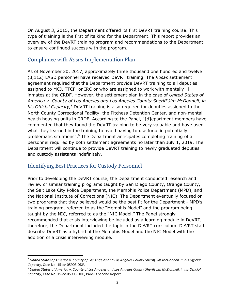On August 3, 2015, the Department offered its first DeVRT training course. This type of training is the first of its kind for the Department. This report provides an overview of the DeVRT training program and recommendations to the Department to ensure continued success with the program.

### <span id="page-3-0"></span>Compliance with *Rosas* Implementation Plan

As of November 30, 2017, approximately three thousand one hundred and twelve (3,112) LASD personnel have received DeVRT training. The *Rosas* settlement agreement required that the Department provide DeVRT training to all deputies assigned to MCJ, TTCF, or IRC or who are assigned to work with mentally ill inmates at the CRDF. However, the settlement plan in the case of *United States of America v. County of Los Angeles and Los Angeles County Sheriff Jim McDonnell, in his Official Capacity,*<sup>5</sup> DeVRT training is also required for deputies assigned to the North County Correctional Facility, the Pitchess Detention Center, and non-mental health housing units in CRDF. According to the Panel, "[d]epartment members have commented that they found the DeVRT training to be very valuable and have used what they learned in the training to avoid having to use force in potentially problematic situations".<sup>6</sup> The Department anticipates completing training of all personnel required by both settlement agreements no later than July 1, 2019. The Department will continue to provide DeVRT training to newly graduated deputies and custody assistants indefinitely.

#### <span id="page-3-1"></span>Identifying Best Practices for Custody Personnel

 $\overline{a}$ 

Prior to developing the DeVRT course, the Department conducted research and review of similar training programs taught by San Diego County, Orange County, the Salt Lake City Police Department, the Memphis Police Department (MPD), and the National Institute of Corrections (NIC). The Department eventually focused on two programs that they believed would be the best fit for the Department - MPD's training program, referred to as the "Memphis Model" and the program being taught by the NIC, referred to as the "NIC Model." The Panel strongly recommended that crisis interviewing be included as a learning module in DeVRT, therefore, the Department included the topic in the DeVRT curriculum. DeVRT staff describe DeVRT as a hybrid of the Memphis Model and the NIC Model with the addition of a crisis interviewing module.

<sup>&</sup>lt;sup>5</sup> United States of America v. County of Los Angeles and Los Angeles County Sheriff Jim McDonnell, in his Official *Capacity*, Case No. 15-cv-05903 DDP.

 $^6$  United States of America v. County of Los Angeles and Los Angeles County Sheriff Jim McDonnell, in his Official *Capacity*, Case No. 15-cv-05903 DDP, Panel's Second Report.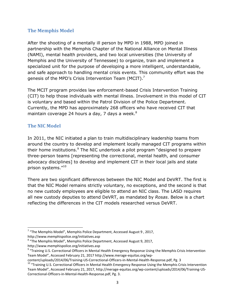#### <span id="page-4-0"></span>**The Memphis Model**

After the shooting of a mentally ill person by MPD in 1988, MPD joined in partnership with the Memphis Chapter of the National Alliance on Mental Illness (NAMI), mental health providers, and two local universities (the University of Memphis and the University of Tennessee) to organize, train and implement a specialized unit for the purpose of developing a more intelligent, understandable, and safe approach to handling mental crisis events. This community effort was the genesis of the MPD's Crisis Intervention Team (MCIT).<sup>7</sup>

The MCIT program provides law enforcement-based Crisis Intervention Training (CIT) to help those individuals with mental illness. Involvement in this model of CIT is voluntary and based within the Patrol Division of the Police Department. Currently, the MPD has approximately 268 officers who have received CIT that maintain coverage 24 hours a day, 7 days a week.<sup>8</sup>

#### <span id="page-4-1"></span>**The NIC Model**

 $\overline{\phantom{a}}$ 

In 2011, the NIC initiated a plan to train multidisciplinary leadership teams from around the country to develop and implement locally managed CIT programs within their home institutions. $9$  The NIC undertook a pilot program "designed to prepare three-person teams [representing the correctional, mental health, and consumer advocacy disciplines] to develop and implement CIT in their local jails and state prison systems."<sup>10</sup>

There are two significant differences between the NIC Model and DeVRT. The first is that the NIC Model remains strictly voluntary, no exceptions, and the second is that no new custody employees are eligible to attend an NIC class. The LASD requires all new custody deputies to attend DeVRT, as mandated by *Rosas*. Below is a chart reflecting the differences in the CIT models researched versus DeVRT.

 $7$  "The Memphis Model", Memphis Police Department, Accessed August 9, 2017, http://www.memphispolice.org/initiatives.asp

<sup>&</sup>lt;sup>8</sup> "The Memphis Model", Memphis Police Department, Accessed August 9, 2017, http://www.memphispolice.org/initiatives.asp

<sup>&</sup>lt;sup>9</sup> "Training U.S. Correctional Officers in Mental Health Emergency Response Using the Memphis Crisis Intervention Team Model", Accessed February 21, 2017 http://www.merage-equitas.org/wp-

content/uploads/2014/06/Training-US-Correctional-Officers-in-Mental-Health-Response.pdf, Pg. 3

<sup>&</sup>lt;sup>10</sup> "Training U.S. Correctional Officers in Mental Health Emergency Response Using the Memphis Crisis Intervention Team Model", Accessed February 21, 2017, http://merage-equitas.org/wp-content/uploads/2014/06/Training-US-Correctional-Officers-in-Mental-Health-Response.pdf, Pg. 3.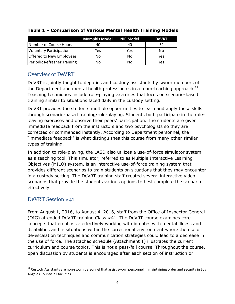|                                | <b>Memphis Model NIC Model</b> |     | <b>DeVRT</b> |
|--------------------------------|--------------------------------|-----|--------------|
| Number of Course Hours         | 40                             | 40  | 32           |
| <b>Voluntary Participation</b> | Yes.                           | Yes | No           |
| Offered to New Employees       | No                             | No  | Yes          |
| Periodic Refresher Training    | No                             | N٥  | Yes          |

#### **Table 1 – Comparison of Various Mental Health Training Models**

## <span id="page-5-0"></span>Overview of DeVRT

DeVRT is jointly taught to deputies and custody assistants by sworn members of the Department and mental health professionals in a team-teaching approach.<sup>11</sup> Teaching techniques include role-playing exercises that focus on scenario-based training similar to situations faced daily in the custody setting.

DeVRT provides the students multiple opportunities to learn and apply these skills through scenario-based training/role-playing. Students both participate in the roleplaying exercises and observe their peers' participation. The students are given immediate feedback from the instructors and two psychologists so they are corrected or commended instantly. According to Department personnel, the "immediate feedback" is what distinguishes this course from many other similar types of training.

In addition to role-playing, the LASD also utilizes a use-of-force simulator system as a teaching tool. This simulator, referred to as Multiple Interactive Learning Objectives (MILO) system, is an interactive use-of-force training system that provides different scenarios to train students on situations that they may encounter in a custody setting. The DeVRT training staff created several interactive video scenarios that provide the students various options to best complete the scenario effectively.

### <span id="page-5-1"></span>DeVRT Session #41

From August 1, 2016, to August 4, 2016, staff from the Office of Inspector General (OIG) attended DeVRT training Class #41. The DeVRT course examines core concepts that emphasize effectively working with inmates with mental illness and disabilities and in situations within the correctional environment where the use of de-escalation techniques and communication strategies could lead to a decrease in the use of force. The attached schedule (Attachment 1) illustrates the current curriculum and course topics. This is not a pass/fail course. Throughout the course, open discussion by students is encouraged after each section of instruction or

l  $11$  Custody Assistants are non-sworn personnel that assist sworn personnel in maintaining order and security in Los Angeles County jail facilities.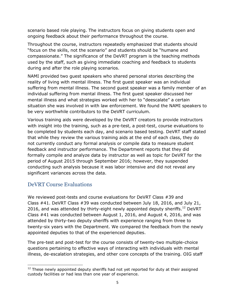scenario based role playing. The instructors focus on giving students open and ongoing feedback about their performance throughout the course.

Throughout the course, instructors repeatedly emphasized that students should "focus on the skills, not the scenario" and students should be "humane and compassionate." The significance of the DeVRT program is the teaching methods used by the staff, such as giving immediate coaching and feedback to students during and after the role playing scenarios.

NAMI provided two guest speakers who shared personal stories describing the reality of living with mental illness. The first guest speaker was an individual suffering from mental illness. The second guest speaker was a family member of an individual suffering from mental illness. The first guest speaker discussed her mental illness and what strategies worked with her to "deescalate" a certain situation she was involved in with law enforcement. We found the NAMI speakers to be very worthwhile contributors to the DeVRT curriculum.

Various training aids were developed by the DeVRT creators to provide instructors with insight into the training, such as a pre-test, a post-test, course evaluations to be completed by students each day, and scenario based testing. DeVRT staff stated that while they review the various training aids at the end of each class, they do not currently conduct any formal analysis or compile data to measure student feedback and instructor performance. The Department reports that they did formally compile and analyze data by instructor as well as topic for DeVRT for the period of August 2015 through September 2016; however, they suspended conducting such analysis because it was labor intensive and did not reveal any significant variances across the data.

#### <span id="page-6-0"></span>DeVRT Course Evaluations

We reviewed post-tests and course evaluations for DeVRT Class #39 and Class #41. DeVRT Class #39 was conducted between July 18, 2016, and July 21, 2016, and was attended by thirty-eight newly appointed deputy sheriffs.<sup>12</sup> DeVRT Class #41 was conducted between August 1, 2016, and August 4, 2016, and was attended by thirty-two deputy sheriffs with experience ranging from three to twenty-six years with the Department. We compared the feedback from the newly appointed deputies to that of the experienced deputies.

The pre-test and post-test for the course consists of twenty-two multiple-choice questions pertaining to effective ways of interacting with individuals with mental illness, de-escalation strategies, and other core concepts of the training. OIG staff

 $\overline{\phantom{a}}$  $12$  These newly appointed deputy sheriffs had not yet reported for duty at their assigned custody facilities or had less than one year of experience.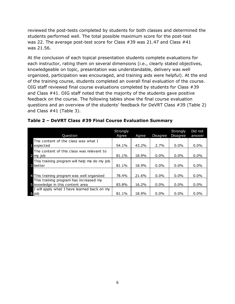reviewed the post-tests completed by students for both classes and determined the students performed well. The total possible maximum score for the post-test was 22. The average post-test score for Class #39 was 21.47 and Class #41 was 21.56.

At the conclusion of each topical presentation students complete evaluations for each instructor, rating them on several dimensions (i.e., clearly stated objectives, knowledgeable on topic, presentation was understandable, delivery was well organized, participation was encouraged, and training aids were helpful). At the end of the training course, students completed an overall final evaluation of the course. OIG staff reviewed final course evaluations completed by students for Class #39 and Class #41. OIG staff noted that the majority of the students gave positive feedback on the course. The following tables show the final course evaluation questions and an overview of the students' feedback for DeVRT Class #39 (Table 2) and Class #41 (Table 3).

| Question                                                                   | <b>Strongly</b><br>Agree | Agree | Disagree | Strongly<br>Disagree | Did not<br>answer |
|----------------------------------------------------------------------------|--------------------------|-------|----------|----------------------|-------------------|
| The content of the class was what I<br><b>i</b> expected                   | 54.1%                    | 43.2% | 2.7%     | $0.0\%$              | $0.0\%$           |
| The content of this class was relevant to<br>2 my job                      | 81.1%                    | 18.9% | 0.0%     | $0.0\%$              | $0.0\%$           |
| This training program will help me do my job<br><b>3</b> better            | 81.1%                    | 18.9% | $0.0\%$  | 0.0%                 | $0.0\%$           |
| 4 This training program was well organized                                 | 78.4%                    | 21.6% | 0.0%     | $0.0\%$              | $0.0\%$           |
| This training program has increased my<br>5 knowledge in this content area | 83.8%                    | 16.2% | $0.0\%$  | $0.0\%$              | $0.0\%$           |
| I will apply what I have learned back on my<br>6 job                       | 81.1%                    | 18.9% | $0.0\%$  | $0.0\%$              | $0.0\%$           |

|  | Table 2 - DeVRT Class #39 Final Course Evaluation Summary |  |
|--|-----------------------------------------------------------|--|
|  |                                                           |  |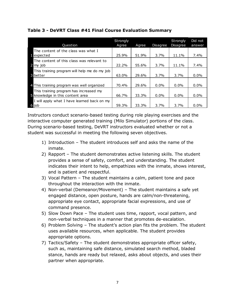| Question                                                                   | <b>Strongly</b><br>Agree | Agree | Disagree | Strongly<br><b>Disagree</b> | Did not<br>answer |
|----------------------------------------------------------------------------|--------------------------|-------|----------|-----------------------------|-------------------|
| The content of the class was what I<br>il expected                         | 25.9%                    | 51.9% | 3.7%     | 11.1%                       | $7.4\%$           |
| The content of this class was relevant to<br>2 my job                      | 22.2%                    | 55.6% | 3.7%     | 11.1%                       | $7.4\%$           |
| This training program will help me do my job<br><b>3</b> better            | 63.0%                    | 29.6% | 3.7%     | 3.7%                        | $0.0\%$           |
| 4 This training program was well organized                                 | 70.4%                    | 29.6% | $0.0\%$  | $0.0\%$                     | $0.0\%$           |
| This training program has increased my<br>S knowledge in this content area | 66.7%                    | 33.3% | $0.0\%$  | $0.0\%$                     | $0.0\%$           |
| I will apply what I have learned back on my<br>6 job                       | 59.3%                    | 33.3% | 3.7%     | 3.7%                        | $0.0\%$           |

#### **Table 3 - DeVRT Class #41 Final Course Evaluation Summary**

Instructors conduct scenario-based testing during role playing exercises and the interactive computer generated training (Milo Simulator) portions of the class. During scenario-based testing, DeVRT instructors evaluated whether or not a student was successful in meeting the following seven objectives.

- 1) Introduction The student introduces self and asks the name of the inmate.
- 2) Rapport The student demonstrates active listening skills. The student provides a sense of safety, comfort, and understanding. The student indicates their intent to help, empathizes with the inmate, shows interest, and is patient and respectful.
- 3) Vocal Pattern The student maintains a calm, patient tone and pace throughout the interaction with the inmate.
- 4) Non-verbal (Demeanor/Movement) The student maintains a safe yet engaged distance, open posture, hands are calm/non-threatening, appropriate eye contact, appropriate facial expressions, and use of command presence.
- 5) Slow Down Pace The student uses time, rapport, vocal pattern, and non-verbal techniques in a manner that promotes de-escalation.
- 6) Problem Solving The student's action plan fits the problem. The student uses available resources, when applicable. The student provides appropriate options.
- 7) Tactics/Safety The student demonstrates appropriate officer safety, such as, maintaining safe distance, simulated search method, bladed stance, hands are ready but relaxed, asks about objects, and uses their partner when appropriate.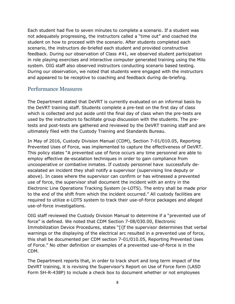Each student had five to seven minutes to complete a scenario. If a student was not adequately progressing, the instructors called a "time out" and coached the student on how to proceed with the scenario. After students completed each scenario, the instructors de-briefed each student and provided constructive feedback. During our observation of Class #41, we observed student participation in role playing exercises and interactive computer generated training using the Milo system. OIG staff also observed instructors conducting scenario based testing. During our observation, we noted that students were engaged with the instructors and appeared to be receptive to coaching and feedback during de-briefing.

#### <span id="page-9-0"></span>Performance Measures

The Department stated that DeVRT is currently evaluated on an informal basis by the DeVRT training staff. Students complete a pre-test on the first day of class which is collected and put aside until the final day of class when the pre-tests are used by the instructors to facilitate group discussion with the students. The pretests and post-tests are gathered and reviewed by the DeVRT training staff and are ultimately filed with the Custody Training and Standards Bureau.

In May of 2016, Custody Division Manual (CDM), Section 7-01/010.05, Reporting Prevented Uses of Force, was implemented to capture the effectiveness of DeVRT. This policy states "A prevented use of force occurs any time personnel are able to employ effective de-escalation techniques in order to gain compliance from uncooperative or combative inmates. If custody personnel have successfully deescalated an incident they shall notify a supervisor (supervising line deputy or above). In cases where the supervisor can confirm or has witnessed a prevented use of force, the supervisor shall document the incident with an entry in the Electronic Line Operations Tracking System (e-LOTS). The entry shall be made prior to the end of the shift from which the incident occurred." All custody facilities are required to utilize e-LOTS system to track their use-of-force packages and alleged use-of-force investigations.

OIG staff reviewed the Custody Division Manual to determine if a "prevented use of force" is defined. We noted that CDM Section 7-08/030.00, Electronic Immobilization Device Procedures, states "[i]f the supervisor determines that verbal warnings or the displaying of the electrical arc resulted in a prevented use of force, this shall be documented per CDM section 7-01/010.05, Reporting Prevented Uses of Force." No other definition or examples of a prevented use-of-force is in the CDM.

The Department reports that, in order to track short and long term impact of the DeVRT training, it is revising the Supervisor's Report on Use of Force form (LASD Form SH-R-438P) to include a check box to document whether or not employees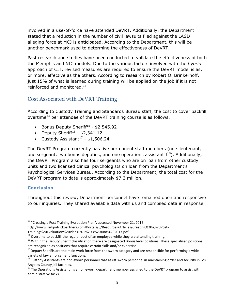involved in a use-of-force have attended DeVRT. Additionally, the Department stated that a reduction in the number of civil lawsuits filed against the LASD alleging force at MCJ is anticipated. According to the Department, this will be another benchmark used to determine the effectiveness of DeVRT.

Past research and studies have been conducted to validate the effectiveness of both the Memphis and NIC models. Due to the various factors involved with the *hybrid* approach of CIT, revised measures are required to ensure the DeVRT model is as, or more, effective as the others. According to research by Robert O. Brinkerhoff, just 15% of what is learned during training will be applied on the job if it is not reinforced and monitored.<sup>13</sup>

## <span id="page-10-0"></span>Cost Associated with DeVRT Training

According to Custody Training and Standards Bureau staff, the cost to cover backfill overtime<sup>14</sup> per attendee of the DeVRT training course is as follows.

- Bonus Deputy Sheriff<sup>15</sup> \$2,545.92
- Deputy Sheriff<sup>16</sup> \$2,341.12
- Custody Assistant $17 $1,506.24$

The DeVRT Program currently has five permanent staff members (one lieutenant, one sergeant, two bonus deputies, and one operations assistant  $I^{18}$ ). Additionally, the DeVRT Program also has four sergeants who are on loan from other custody units and two licensed clinical psychologists on loan from the Department's Psychological Services Bureau. According to the Department, the total cost for the DeVRT program to date is approximately \$7.3 million.

#### **Conclusion**

Throughout this review, Department personnel have remained open and responsive to our inquiries. They shared available data with us and compiled data in response

Training%20Evaluation%20Plan%20T%20D%20June%202013.pdf

 $\overline{\phantom{a}}$ <sup>13</sup> "Creating a Post Training Evaluation Plan", accessed November 21, 2016

http://www.kirkpatrickpartners.com/Portals/0/Resources/Articles/Creating%20a%20Post-

 $14$  Overtime to backfill the regular post of an employee while they are attending training.

<sup>&</sup>lt;sup>15</sup> Within the Deputy Sheriff classification there are designated Bonus level positions. These specialized positions are recognized as positions that require certain skills and/or expertise.

 $16$  Deputy Sheriffs are the main work force from the sworn category and are responsible for performing a wide variety of law enforcement functions.

<sup>&</sup>lt;sup>17</sup> Custody Assistants are non-sworn personnel that assist sworn personnel in maintaining order and security in Los Angeles County jail facilities.

 $18$  The Operations Assistant I is a non-sworn department member assigned to the DeVRT program to assist with administrative tasks.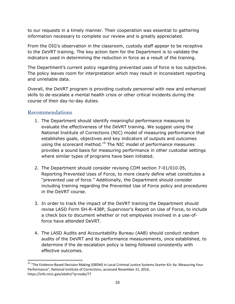to our requests in a timely manner. Their cooperation was essential to gathering information necessary to complete our review and is greatly appreciated.

From the OIG's observation in the classroom, custody staff appear to be receptive to the DeVRT training. The key action item for the Department is to validate the indicators used in determining the reduction in force as a result of the training.

The Department's current policy regarding prevented uses of force is too subjective. The policy leaves room for interpretation which may result in inconsistent reporting and unreliable data.

Overall, the DeVRT program is providing custody personnel with new and enhanced skills to de-escalate a mental health crisis or other critical incidents during the course of their day-to-day duties.

#### <span id="page-11-0"></span>Recommendations

 $\overline{\phantom{a}}$ 

- 1. The Department should identify meaningful performance measures to evaluate the effectiveness of the DeVRT training. We suggest using the National Institute of Corrections (NIC) model of measuring performance that establishes goals, objectives and key indicators of outputs and outcomes using the scorecard method.<sup>19</sup> The NIC model of performance measures provides a sound basis for measuring performance in other custodial settings where similar types of programs have been initiated.
- 2. The Department should consider revising CDM section 7-01/010.05, Reporting Prevented Uses of Force, to more clearly define what constitutes a "prevented use of force." Additionally, the Department should consider including training regarding the Prevented Use of Force policy and procedures in the DeVRT course.
- 3. In order to track the impact of the DeVRT training the Department should revise LASD Form SH-R-438P, Supervisor's Report on Use of Force, to include a check box to document whether or not employees involved in a use-offorce have attended DeVRT.
- 4. The LASD Audits and Accountability Bureau (AAB) should conduct random audits of the DeVRT and its performance measurements, once established, to determine if the de-escalation policy is being followed consistently with effective outcomes.

<sup>&</sup>lt;sup>19</sup> "The Evidence-Based Decision Making (EBDM) in Local Criminal Justice Systems Starter Kit: 6a: Measuring Your Performance", National Institute of Corrections, accessed November 21, 2016, https://info.nicic.gov/ebdm/?q=node/77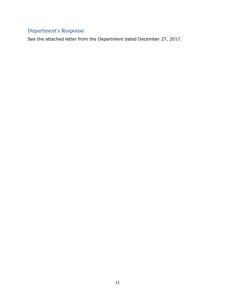# <span id="page-12-0"></span>Department's Response

See the attached letter from the Department dated December 27, 2017.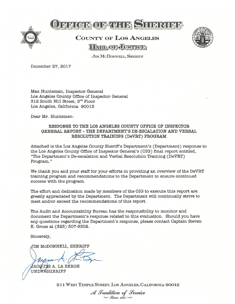

# **A PRICE OF THEF SHERIFF**

# COUNTY OF LOS ANGELES **HATLOF JUSTICE**



JIM MCDONNELL, SHERIFF

December 27, 2017

Max Huntsman, Inspector General Los Angeles County Office of Inspector General 312 South Hifi Street, 3rd Floor Los Angeles, California 90013

Dear Mr. Huntsman:

#### RESPONSE TO THE LOS ANGELES COUNTY OFFICE OF INSPECTOR GENERAL REPORT -THE DEPARTMENT'S DE-E\$CALATION AND VERBAL RESOLUTION TRAINING (DeVET) PROGRAM

Attached is the Los Angeles County Sheriff's Department's (Department) response to the Los Angeles County Office of Inspector General's (OIG) final repor<sup>t</sup> entitled, "The Department's IDe-escalation and Verbal Resolution Training (DeVRT) Program."

We thank you and your staff for your efforts in providing an overview of the DeVRT training program and recommendations to the Department to ensure continued success with the program.

The effort and dedication made by members of the OIG to execute this repor<sup>t</sup> are greatly appreciated by the Department. The Department will continually strive to meet andjor exceed the recommendations of this report.

The Audit and Accountability Bureau has the responsibility to monitor and document the Department's response related to this evaluation. Should you have any questions regarding the Department's response, <sup>p</sup>lease contact Captain Steven E. Gross at (323) 307-8302.

Sincerely,

JIM McDONNELL, SHERIFF

ACQUS A. LA BERGE UNDERSHERIFF

211 WEST TEMPLE STREET, LOS ANGELES, CALIFORNIA 90012

A Tradition of Service<br>— <sup>Gince</sup> 1850—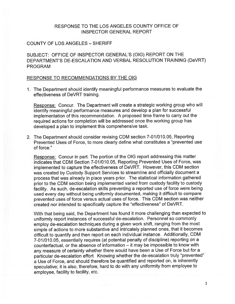#### RESPONSE TO THE LOS ANGELES COUNTY OFFICE OF INSPECTOR GENERAL REPORT

#### COUNTY OF LOS ANGELES — SHERIFF

SUBJECT: OFFICE OF INSPECTOR GENERAL'S (OIG) REPORT ON THE DEPARTMENT'S DE-ESCALATION AND VERBAL RESOLUTION TRAINING (DeVRT) PROGRAM

#### RESPONSE TO RECOMMENDATIONS BY THE OIG

1. The Department should identify meaningful performance measures to evaluate the effectiveness of DeVRT training.

Response: Concur. The Department will create <sup>a</sup> strategic working group who will identify meaningful performance measures and develop <sup>a</sup> <sup>p</sup>lan for successful implementation of this recommendation. <sup>A</sup> propose<sup>d</sup> time frame to carry out the required actions for completion will be addressed once the working group has developed <sup>a</sup> <sup>p</sup>lan to implement this comprehensive task.

2. The Department should consider revising CDM section 7-01/010.05, Reporting Prevented Uses of Force, to more clearly define what constitutes <sup>a</sup> "prevented use of force."

Response: Concur in part. The portion of the OIG repor<sup>t</sup> addressing this matter indicates that CDM Section 7-01/010.05, Reporting Prevented Uses of Force, was implemented to capture the effectiveness of DeVRT. However, this CDM section was created by Custody Support Services to streamline and officially document <sup>a</sup> process that was already in <sup>p</sup>lace years prior. The statistical information gathered prior to the CDM section being implemented varied from custody facility to custody facility. As such, de-escalation skills preventing <sup>a</sup> reported use of force were being used every day without being uniformly documented, making it difficult to compare prevented uses of force versus actual uses of force. This CDM section was neither created nor intended to specifically capture the "effectiveness" of DeVRT.

With that being said, the Department has found it more challenging than expected to uniformly repor<sup>t</sup> instances of successful de-escalation. Personnel so commonly employ de-escalation techniques during a given work shift, ranging from the most simple of actions to more substantive and intricately <sup>p</sup>lanned ones, that it becomes difficult to quantify and then repor<sup>t</sup> on each individual instance. Additionally, CDM 7-01/010.05, essentially requires (at potential penalty of discipline) reporting on <sup>a</sup> counterfactual, or the absence of information — it may be impossible to know with any measure of certainty whether there would have been <sup>a</sup> Use of Force but for <sup>a</sup> particular de-escalation effort. Knowing whether the de-escalation truly "prevented" <sup>a</sup> Use of Force, and should therefore be quantified and reported on, is inherently speculative; it is also, therefore, hard to do with any uniformity from employee to employee, facility to facility, etc.

1